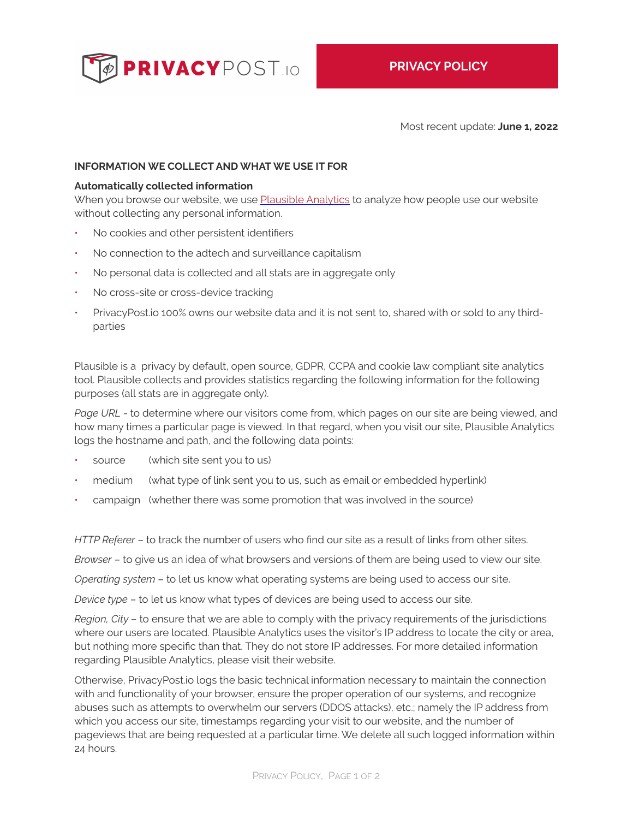

Most recent update: **June 1, 2022**

## **INFORMATION WE COLLECT AND WHAT WE USE IT FOR**

#### **Automatically collected information**

When you browse our website, we use [Plausible Analytics](https://plausible.io/privacy-focused-web-analytics) to analyze how people use our website without collecting any personal information.

- No cookies and other persistent identifiers
- No connection to the adtech and surveillance capitalism
- No personal data is collected and all stats are in aggregate only
- No cross-site or cross-device tracking
- PrivacyPost.io 100% owns our website data and it is not sent to, shared with or sold to any thirdparties

Plausible is a privacy by default, open source, GDPR, CCPA and cookie law compliant site analytics tool. Plausible collects and provides statistics regarding the following information for the following purposes (all stats are in aggregate only).

Page URL - to determine where our visitors come from, which pages on our site are being viewed, and how many times a particular page is viewed. In that regard, when you visit our site, Plausible Analytics logs the hostname and path, and the following data points:

- source (which site sent you to us)
- medium (what type of link sent you to us, such as email or embedded hyperlink)
- campaign (whether there was some promotion that was involved in the source)

*HTTP Referer* – to track the number of users who find our site as a result of links from other sites.

*Browser* – to give us an idea of what browsers and versions of them are being used to view our site.

*Operating system* – to let us know what operating systems are being used to access our site.

*Device type* – to let us know what types of devices are being used to access our site.

*Region, City* – to ensure that we are able to comply with the privacy requirements of the jurisdictions where our users are located. Plausible Analytics uses the visitor's IP address to locate the city or area, but nothing more specific than that. They do not store IP addresses. For more detailed information regarding Plausible Analytics, please visit their website.

Otherwise, PrivacyPost.io logs the basic technical information necessary to maintain the connection with and functionality of your browser, ensure the proper operation of our systems, and recognize abuses such as attempts to overwhelm our servers (DDOS attacks), etc.; namely the IP address from which you access our site, timestamps regarding your visit to our website, and the number of pageviews that are being requested at a particular time. We delete all such logged information within 24 hours.